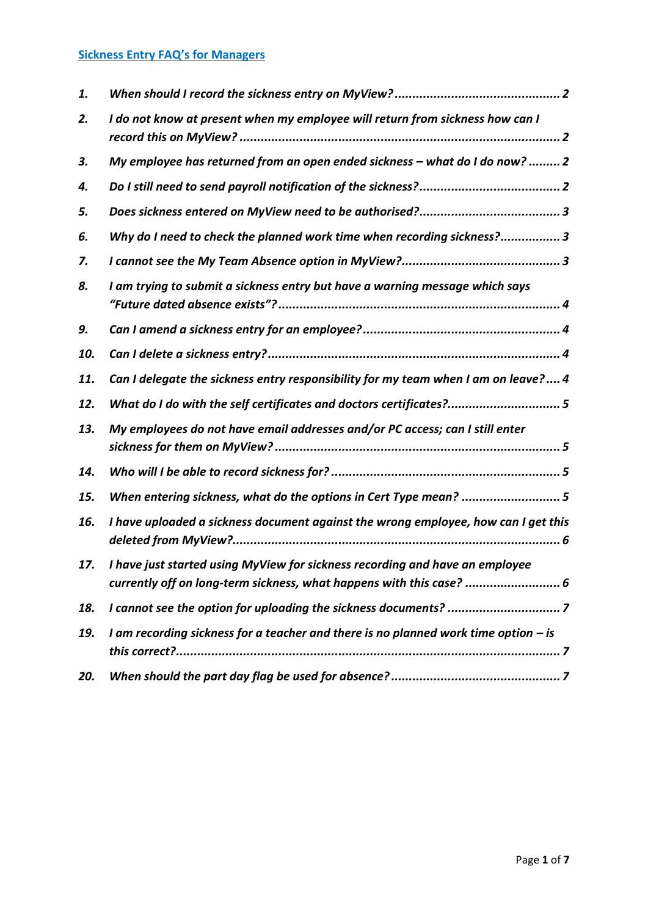# **Sickness Entry FAQ's for Managers**

| 1.  |                                                                                                                                                      |
|-----|------------------------------------------------------------------------------------------------------------------------------------------------------|
| 2.  | I do not know at present when my employee will return from sickness how can I                                                                        |
| З.  | My employee has returned from an open ended sickness - what do I do now?  2                                                                          |
| 4.  |                                                                                                                                                      |
| 5.  |                                                                                                                                                      |
| 6.  | Why do I need to check the planned work time when recording sickness?3                                                                               |
| 7.  |                                                                                                                                                      |
| 8.  | I am trying to submit a sickness entry but have a warning message which says                                                                         |
| 9.  |                                                                                                                                                      |
| 10. |                                                                                                                                                      |
| 11. | Can I delegate the sickness entry responsibility for my team when I am on leave? 4                                                                   |
| 12. | What do I do with the self certificates and doctors certificates?5                                                                                   |
| 13. | My employees do not have email addresses and/or PC access; can I still enter                                                                         |
| 14. |                                                                                                                                                      |
| 15. | When entering sickness, what do the options in Cert Type mean? 5                                                                                     |
| 16. | I have uploaded a sickness document against the wrong employee, how can I get this                                                                   |
| 17. | I have just started using MyView for sickness recording and have an employee<br>currently off on long-term sickness, what happens with this case?  6 |
| 18. |                                                                                                                                                      |
| 19. | I am recording sickness for a teacher and there is no planned work time option $-$ is                                                                |
| 20. |                                                                                                                                                      |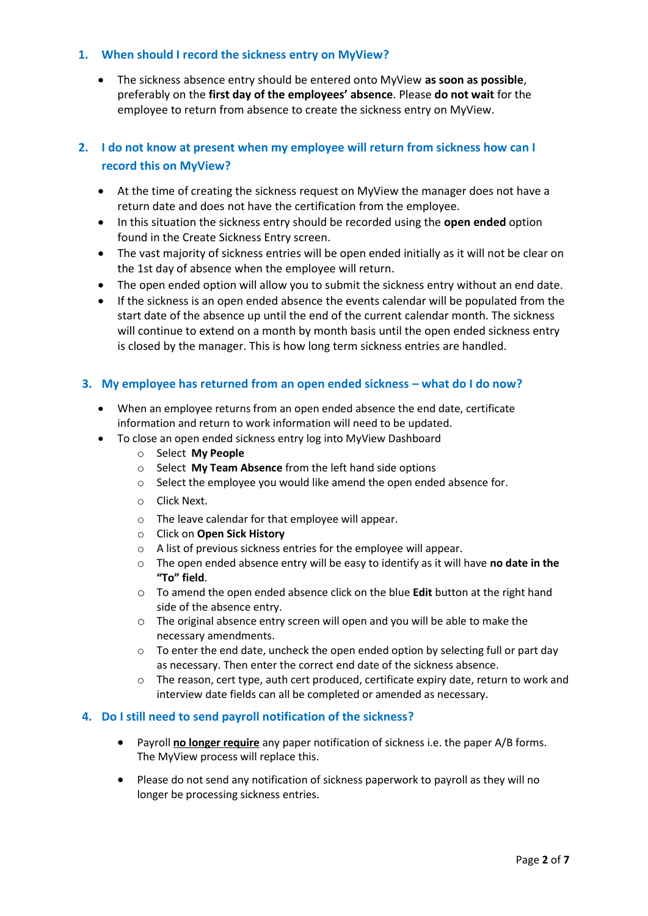## <span id="page-1-0"></span>**1. When should I record the sickness entry on MyView?**

 The sickness absence entry should be entered onto MyView **as soon as possible**, preferably on the **first day of the employees' absence**. Please **do not wait** for the employee to return from absence to create the sickness entry on MyView.

# <span id="page-1-1"></span>**2. I do not know at present when my employee will return from sickness how can I record this on MyView?**

- At the time of creating the sickness request on MyView the manager does not have a return date and does not have the certification from the employee.
- In this situation the sickness entry should be recorded using the **open ended** option found in the Create Sickness Entry screen.
- The vast majority of sickness entries will be open ended initially as it will not be clear on the 1st day of absence when the employee will return.
- The open ended option will allow you to submit the sickness entry without an end date.
- If the sickness is an open ended absence the events calendar will be populated from the start date of the absence up until the end of the current calendar month. The sickness will continue to extend on a month by month basis until the open ended sickness entry is closed by the manager. This is how long term sickness entries are handled.

## <span id="page-1-2"></span>**3.** My employee has returned from an open ended sickness – what do I do now?

- When an employee returns from an open ended absence the end date, certificate information and return to work information will need to be updated.
- To close an open ended sickness entry log into MyView Dashboard
	- o Select **My People**
	- o Select **My Team Absence** from the left hand side options
	- o Select the employee you would like amend the open ended absence for.
	- o Click Next.
	- o The leave calendar for that employee will appear.
	- o Click on **Open Sick History**
	- o A list of previous sickness entries for the employee will appear.
	- o The open ended absence entry will be easy to identify as it will have **no date in the "To" field**.
	- o To amend the open ended absence click on the blue **Edit** button at the right hand side of the absence entry.
	- o The original absence entry screen will open and you will be able to make the necessary amendments.
	- $\circ$  To enter the end date, uncheck the open ended option by selecting full or part day as necessary. Then enter the correct end date of the sickness absence.
	- $\circ$  The reason, cert type, auth cert produced, certificate expiry date, return to work and interview date fields can all be completed or amended as necessary.

#### <span id="page-1-3"></span>**4. Do I still need to send payroll notification of the sickness?**

- Payroll **no longer require** any paper notification of sickness i.e. the paper A/B forms. The MyView process will replace this.
- Please do not send any notification of sickness paperwork to payroll as they will no longer be processing sickness entries.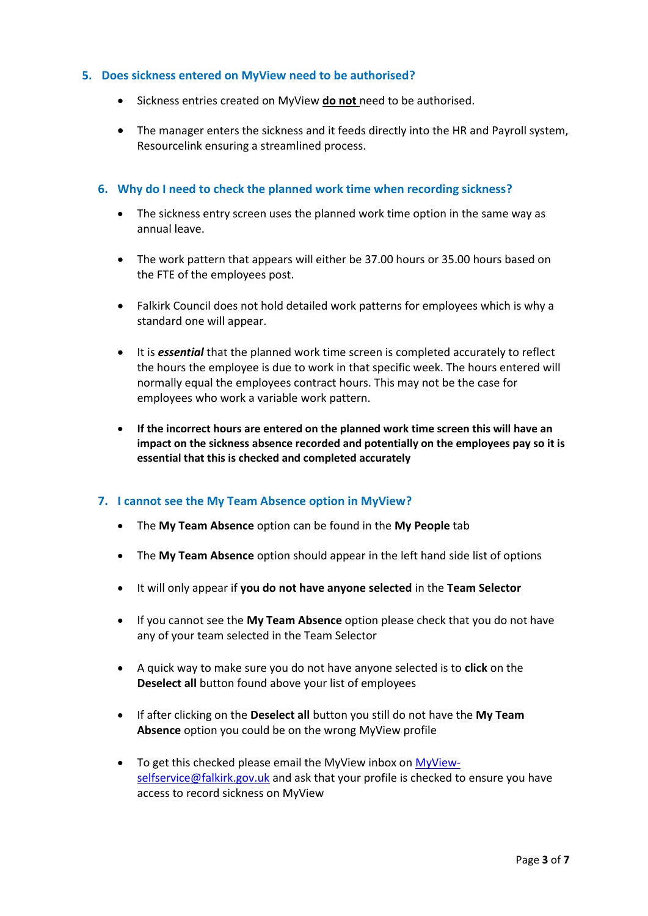## <span id="page-2-0"></span>**5. Does sickness entered on MyView need to be authorised?**

- Sickness entries created on MyView **do not** need to be authorised.
- The manager enters the sickness and it feeds directly into the HR and Payroll system, Resourcelink ensuring a streamlined process.

### <span id="page-2-1"></span>**6. Why do I need to check the planned work time when recording sickness?**

- The sickness entry screen uses the planned work time option in the same way as annual leave.
- The work pattern that appears will either be 37.00 hours or 35.00 hours based on the FTE of the employees post.
- Falkirk Council does not hold detailed work patterns for employees which is why a standard one will appear.
- It is *essential* that the planned work time screen is completed accurately to reflect the hours the employee is due to work in that specific week. The hours entered will normally equal the employees contract hours. This may not be the case for employees who work a variable work pattern.
- **If the incorrect hours are entered on the planned work time screen this will have an impact on the sickness absence recorded and potentially on the employees pay so it is essential that this is checked and completed accurately**

## <span id="page-2-2"></span>**7. I cannot see the My Team Absence option in MyView?**

- The **My Team Absence** option can be found in the **My People** tab
- The **My Team Absence** option should appear in the left hand side list of options
- It will only appear if **you do not have anyone selected** in the **Team Selector**
- If you cannot see the **My Team Absence** option please check that you do not have any of your team selected in the Team Selector
- A quick way to make sure you do not have anyone selected is to **click** on the **Deselect all** button found above your list of employees
- If after clicking on the **Deselect all** button you still do not have the **My Team Absence** option you could be on the wrong MyView profile
- To get this checked please email the MyView inbox o[n MyView](mailto:MyView-selfservice@falkirk.gov.uk)[selfservice@falkirk.gov.uk](mailto:MyView-selfservice@falkirk.gov.uk) and ask that your profile is checked to ensure you have access to record sickness on MyView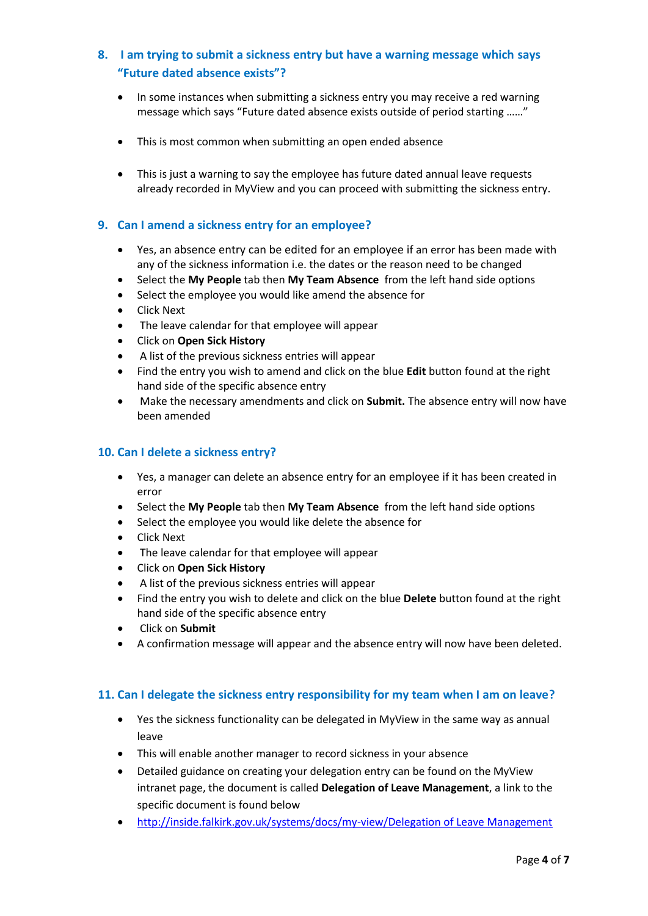## <span id="page-3-0"></span>**8. I am trying to submit a sickness entry but have a warning message which says "Future dated absence exists"?**

- In some instances when submitting a sickness entry you may receive a red warning message which says "Future dated absence exists outside of period starting ……"
- This is most common when submitting an open ended absence
- This is just a warning to say the employee has future dated annual leave requests already recorded in MyView and you can proceed with submitting the sickness entry.

### <span id="page-3-1"></span>**9. Can I amend a sickness entry for an employee?**

- Yes, an absence entry can be edited for an employee if an error has been made with any of the sickness information i.e. the dates or the reason need to be changed
- Select the **My People** tab then **My Team Absence** from the left hand side options
- Select the employee you would like amend the absence for
- Click Next
- The leave calendar for that employee will appear
- Click on **Open Sick History**
- A list of the previous sickness entries will appear
- Find the entry you wish to amend and click on the blue **Edit** button found at the right hand side of the specific absence entry
- Make the necessary amendments and click on **Submit.** The absence entry will now have been amended

#### <span id="page-3-2"></span>**10. Can I delete a sickness entry?**

- Yes, a manager can delete an absence entry for an employee if it has been created in error
- Select the **My People** tab then **My Team Absence** from the left hand side options
- Select the employee you would like delete the absence for
- Click Next
- The leave calendar for that employee will appear
- Click on **Open Sick History**
- A list of the previous sickness entries will appear
- Find the entry you wish to delete and click on the blue **Delete** button found at the right hand side of the specific absence entry
- Click on **Submit**
- A confirmation message will appear and the absence entry will now have been deleted.

#### <span id="page-3-3"></span>**11. Can I delegate the sickness entry responsibility for my team when I am on leave?**

- Yes the sickness functionality can be delegated in MyView in the same way as annual leave
- This will enable another manager to record sickness in your absence
- Detailed guidance on creating your delegation entry can be found on the MyView intranet page, the document is called **Delegation of Leave Management**, a link to the specific document is found below
- [http://inside.falkirk.gov.uk/systems/docs/my-view/Delegation of Leave Management](http://inside.falkirk.gov.uk/systems/docs/my-view/Delegation%20of%20Leave%20Management.pdf?v=201708031537)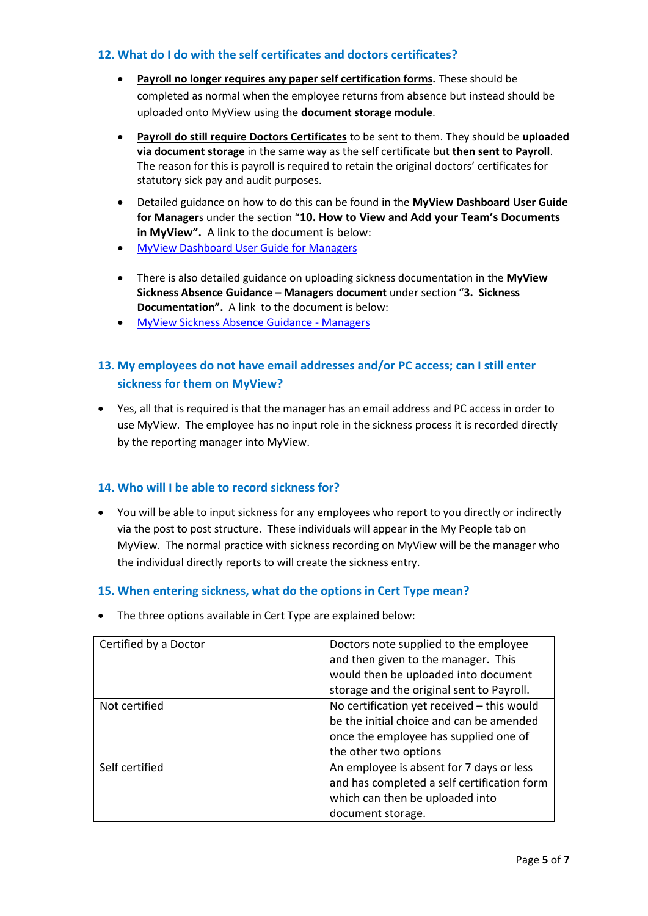## <span id="page-4-0"></span>**12. What do I do with the self certificates and doctors certificates?**

- **Payroll no longer requires any paper self certification forms.** These should be completed as normal when the employee returns from absence but instead should be uploaded onto MyView using the **document storage module**.
- **Payroll do still require Doctors Certificates** to be sent to them. They should be **uploaded via document storage** in the same way as the self certificate but **then sent to Payroll**. The reason for this is payroll is required to retain the original doctors' certificates for statutory sick pay and audit purposes.
- Detailed guidance on how to do this can be found in the **MyView Dashboard User Guide for Manager**s under the section "**10. How to View and Add your Team's Documents in MyView".** A link to the document is below:
- [MyView Dashboard User Guide for Managers](http://inside.falkirk.gov.uk/systems/docs/my-view/My%20View%20Dashboard%20User%20Guide%20-%20Managers.pdf?v=201708031537)
- There is also detailed guidance on uploading sickness documentation in the **MyView Sickness Absence Guidance – Managers document** under section "**3. Sickness Documentation".** A link to the document is below:
- [MyView Sickness Absence Guidance -](http://inside.falkirk.gov.uk/systems/docs/my-view/MyView%20Sickness%20Absence%20Guidance%20-%20Managers.pdf?v=201708031537) Managers

# <span id="page-4-1"></span>**13. My employees do not have email addresses and/or PC access; can I still enter sickness for them on MyView?**

 Yes, all that is required is that the manager has an email address and PC access in order to use MyView. The employee has no input role in the sickness process it is recorded directly by the reporting manager into MyView.

## <span id="page-4-2"></span>**14. Who will I be able to record sickness for?**

 You will be able to input sickness for any employees who report to you directly or indirectly via the post to post structure. These individuals will appear in the My People tab on MyView. The normal practice with sickness recording on MyView will be the manager who the individual directly reports to will create the sickness entry.

## <span id="page-4-3"></span>**15. When entering sickness, what do the options in Cert Type mean?**

The three options available in Cert Type are explained below:

| Certified by a Doctor | Doctors note supplied to the employee<br>and then given to the manager. This |
|-----------------------|------------------------------------------------------------------------------|
|                       | would then be uploaded into document                                         |
|                       | storage and the original sent to Payroll.                                    |
| Not certified         | No certification yet received - this would                                   |
|                       | be the initial choice and can be amended                                     |
|                       | once the employee has supplied one of                                        |
|                       | the other two options                                                        |
| Self certified        | An employee is absent for 7 days or less                                     |
|                       | and has completed a self certification form                                  |
|                       | which can then be uploaded into                                              |
|                       | document storage.                                                            |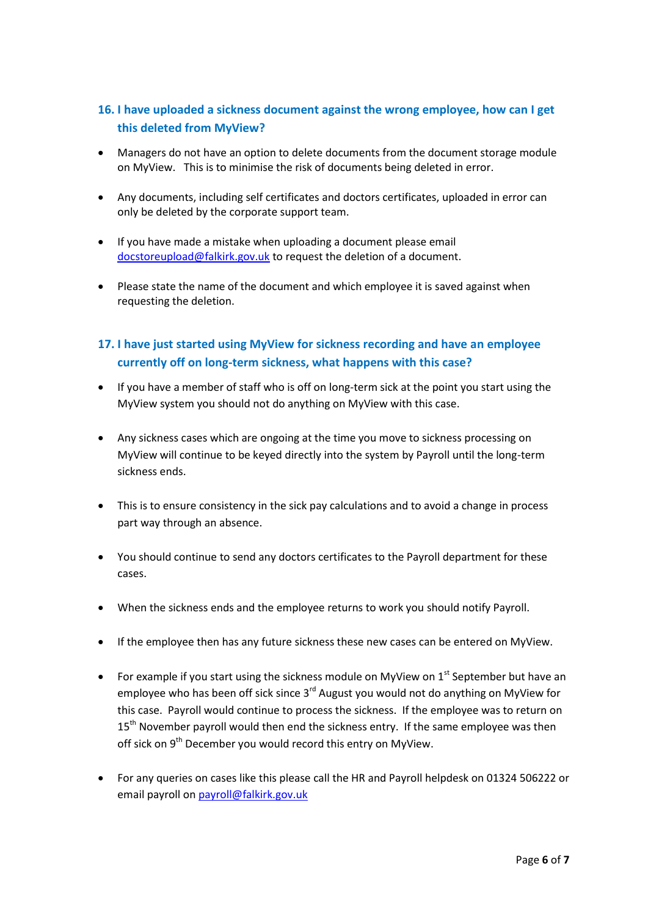# <span id="page-5-0"></span>**16. I have uploaded a sickness document against the wrong employee, how can I get this deleted from MyView?**

- Managers do not have an option to delete documents from the document storage module on MyView. This is to minimise the risk of documents being deleted in error.
- Any documents, including self certificates and doctors certificates, uploaded in error can only be deleted by the corporate support team.
- If you have made a mistake when uploading a document please email [docstoreupload@falkirk.gov.uk](mailto:docstoreupload@falkirk.gov.uk) to request the deletion of a document.
- Please state the name of the document and which employee it is saved against when requesting the deletion.

# <span id="page-5-1"></span>**17. I have just started using MyView for sickness recording and have an employee currently off on long-term sickness, what happens with this case?**

- If you have a member of staff who is off on long-term sick at the point you start using the MyView system you should not do anything on MyView with this case.
- Any sickness cases which are ongoing at the time you move to sickness processing on MyView will continue to be keyed directly into the system by Payroll until the long-term sickness ends.
- This is to ensure consistency in the sick pay calculations and to avoid a change in process part way through an absence.
- You should continue to send any doctors certificates to the Payroll department for these cases.
- When the sickness ends and the employee returns to work you should notify Payroll.
- If the employee then has any future sickness these new cases can be entered on MyView.
- For example if you start using the sickness module on MyView on  $1<sup>st</sup>$  September but have an employee who has been off sick since 3<sup>rd</sup> August you would not do anything on MyView for this case. Payroll would continue to process the sickness. If the employee was to return on 15<sup>th</sup> November payroll would then end the sickness entry. If the same employee was then off sick on 9<sup>th</sup> December you would record this entry on MyView.
- For any queries on cases like this please call the HR and Payroll helpdesk on 01324 506222 or email payroll o[n payroll@falkirk.gov.uk](mailto:payroll@falkirk.gov.uk)